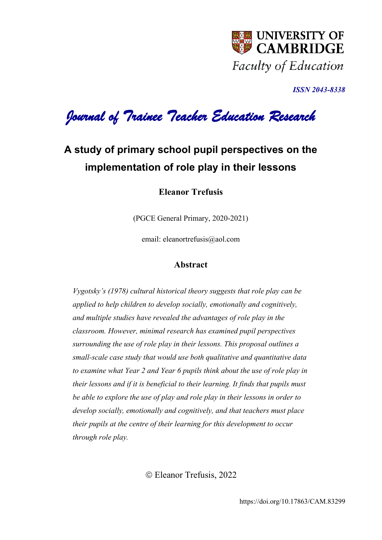

*ISSN 2043-8338* 

*Journal of Trainee Teacher Education Research* 

## **A study of primary school pupil perspectives on the implementation of role play in their lessons**

**Eleanor Trefusis**

(PGCE General Primary, 2020-2021)

email: [eleanortrefusis@aol.com](mailto:eleanortrefusis@aol.com)

## **Abstract**

*Vygotsky's (1978) cultural historical theory suggests that role play can be applied to help children to develop socially, emotionally and cognitively, and multiple studies have revealed the advantages of role play in the classroom. However, minimal research has examined pupil perspectives surrounding the use of role play in their lessons. This proposal outlines a small-scale case study that would use both qualitative and quantitative data to examine what Year 2 and Year 6 pupils think about the use of role play in their lessons and if it is beneficial to their learning. It finds that pupils must be able to explore the use of play and role play in their lessons in order to develop socially, emotionally and cognitively, and that teachers must place their pupils at the centre of their learning for this development to occur through role play.*

Eleanor Trefusis, 2022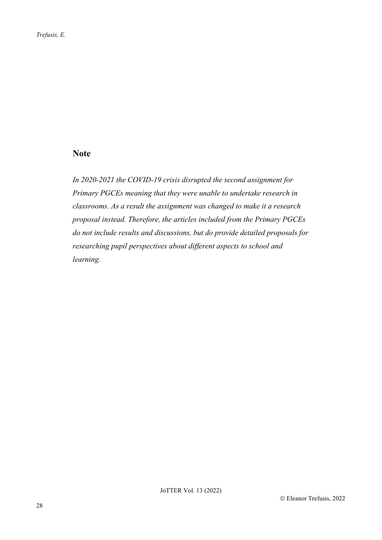## **Note**

*In 2020-2021 the COVID-19 crisis disrupted the second assignment for Primary PGCEs meaning that they were unable to undertake research in classrooms. As a result the assignment was changed to make it a research proposal instead. Therefore, the articles included from the Primary PGCEs do not include results and discussions, but do provide detailed proposals for researching pupil perspectives about different aspects to school and learning.*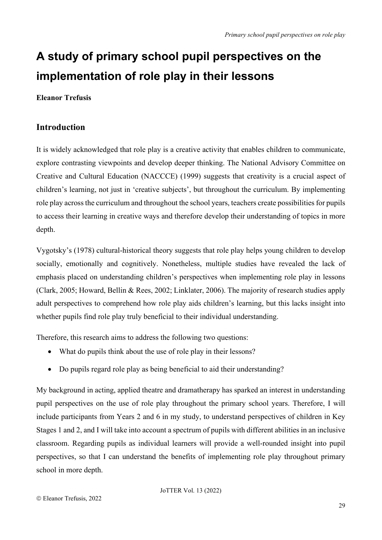# **A study of primary school pupil perspectives on the implementation of role play in their lessons**

**Eleanor Trefusis**

## **Introduction**

It is widely acknowledged that role play is a creative activity that enables children to communicate, explore contrasting viewpoints and develop deeper thinking. The National Advisory Committee on Creative and Cultural Education (NACCCE) (1999) suggests that creativity is a crucial aspect of children's learning, not just in 'creative subjects', but throughout the curriculum. By implementing role play across the curriculum and throughout the school years, teachers create possibilities for pupils to access their learning in creative ways and therefore develop their understanding of topics in more depth.

Vygotsky's (1978) cultural-historical theory suggests that role play helps young children to develop socially, emotionally and cognitively. Nonetheless, multiple studies have revealed the lack of emphasis placed on understanding children's perspectives when implementing role play in lessons (Clark, 2005; Howard, Bellin & Rees, 2002; Linklater, 2006). The majority of research studies apply adult perspectives to comprehend how role play aids children's learning, but this lacks insight into whether pupils find role play truly beneficial to their individual understanding.

Therefore, this research aims to address the following two questions:

- What do pupils think about the use of role play in their lessons?
- Do pupils regard role play as being beneficial to aid their understanding?

My background in acting, applied theatre and dramatherapy has sparked an interest in understanding pupil perspectives on the use of role play throughout the primary school years. Therefore, I will include participants from Years 2 and 6 in my study, to understand perspectives of children in Key Stages 1 and 2, and I will take into account a spectrum of pupils with different abilities in an inclusive classroom. Regarding pupils as individual learners will provide a well-rounded insight into pupil perspectives, so that I can understand the benefits of implementing role play throughout primary school in more depth.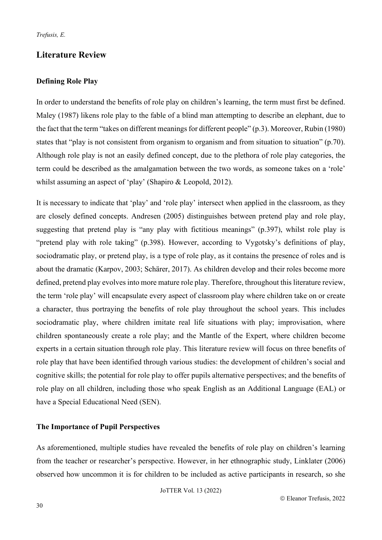## **Literature Review**

## **Defining Role Play**

In order to understand the benefits of role play on children's learning, the term must first be defined. Maley (1987) likens role play to the fable of a blind man attempting to describe an elephant, due to the fact that the term "takes on different meanings for different people" (p.3). Moreover, Rubin (1980) states that "play is not consistent from organism to organism and from situation to situation" (p.70). Although role play is not an easily defined concept, due to the plethora of role play categories, the term could be described as the amalgamation between the two words, as someone takes on a 'role' whilst assuming an aspect of 'play' (Shapiro & Leopold, 2012).

It is necessary to indicate that 'play' and 'role play' intersect when applied in the classroom, as they are closely defined concepts. Andresen (2005) distinguishes between pretend play and role play, suggesting that pretend play is "any play with fictitious meanings" (p.397), whilst role play is "pretend play with role taking" (p.398). However, according to Vygotsky's definitions of play, sociodramatic play, or pretend play, is a type of role play, as it contains the presence of roles and is about the dramatic (Karpov, 2003; Schärer, 2017). As children develop and their roles become more defined, pretend play evolves into more mature role play. Therefore, throughout this literature review, the term 'role play' will encapsulate every aspect of classroom play where children take on or create a character, thus portraying the benefits of role play throughout the school years. This includes sociodramatic play, where children imitate real life situations with play; improvisation, where children spontaneously create a role play; and the Mantle of the Expert, where children become experts in a certain situation through role play. This literature review will focus on three benefits of role play that have been identified through various studies: the development of children's social and cognitive skills; the potential for role play to offer pupils alternative perspectives; and the benefits of role play on all children, including those who speak English as an Additional Language (EAL) or have a Special Educational Need (SEN).

## **The Importance of Pupil Perspectives**

As aforementioned, multiple studies have revealed the benefits of role play on children's learning from the teacher or researcher's perspective. However, in her ethnographic study, Linklater (2006) observed how uncommon it is for children to be included as active participants in research, so she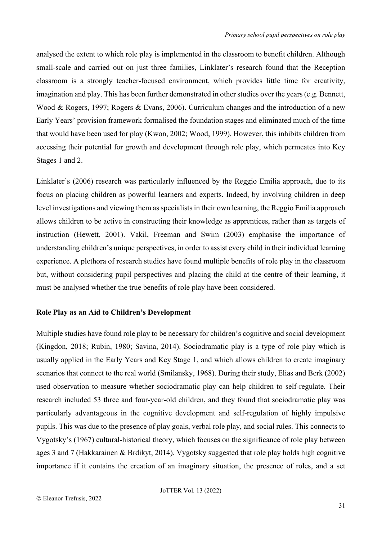analysed the extent to which role play is implemented in the classroom to benefit children. Although small-scale and carried out on just three families, Linklater's research found that the Reception classroom is a strongly teacher-focused environment, which provides little time for creativity, imagination and play. This has been further demonstrated in other studies over the years (e.g. Bennett, Wood & Rogers, 1997; Rogers & Evans, 2006). Curriculum changes and the introduction of a new Early Years' provision framework formalised the foundation stages and eliminated much of the time that would have been used for play (Kwon, 2002; Wood, 1999). However, this inhibits children from accessing their potential for growth and development through role play, which permeates into Key Stages 1 and 2.

Linklater's (2006) research was particularly influenced by the Reggio Emilia approach, due to its focus on placing children as powerful learners and experts. Indeed, by involving children in deep level investigations and viewing them as specialists in their own learning, the Reggio Emilia approach allows children to be active in constructing their knowledge as apprentices, rather than as targets of instruction (Hewett, 2001). Vakil, Freeman and Swim (2003) emphasise the importance of understanding children's unique perspectives, in order to assist every child in their individual learning experience. A plethora of research studies have found multiple benefits of role play in the classroom but, without considering pupil perspectives and placing the child at the centre of their learning, it must be analysed whether the true benefits of role play have been considered.

#### **Role Play as an Aid to Children's Development**

Multiple studies have found role play to be necessary for children's cognitive and social development (Kingdon, 2018; Rubin, 1980; Savina, 2014). Sociodramatic play is a type of role play which is usually applied in the Early Years and Key Stage 1, and which allows children to create imaginary scenarios that connect to the real world (Smilansky, 1968). During their study, Elias and Berk (2002) used observation to measure whether sociodramatic play can help children to self-regulate. Their research included 53 three and four-year-old children, and they found that sociodramatic play was particularly advantageous in the cognitive development and self-regulation of highly impulsive pupils. This was due to the presence of play goals, verbal role play, and social rules. This connects to Vygotsky's (1967) cultural-historical theory, which focuses on the significance of role play between ages 3 and 7 (Hakkarainen & Brdikyt, 2014). Vygotsky suggested that role play holds high cognitive importance if it contains the creation of an imaginary situation, the presence of roles, and a set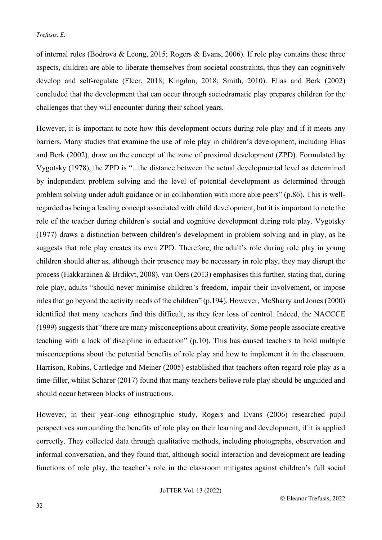of internal rules (Bodrova & Leong, 2015; Rogers & Evans, 2006). If role play contains these three aspects, children are able to liberate themselves from societal constraints, thus they can cognitively develop and self-regulate (Fleer, 2018; Kingdon, 2018; Smith, 2010). Elias and Berk (2002) concluded that the development that can occur through sociodramatic play prepares children for the challenges that they will encounter during their school years.

However, it is important to note how this development occurs during role play and if it meets any barriers. Many studies that examine the use of role play in children's development, including Elias and Berk (2002), draw on the concept of the zone of proximal development (ZPD). Formulated by Vygotsky (1978), the ZPD is "...the distance between the actual developmental level as determined by independent problem solving and the level of potential development as determined through problem solving under adult guidance or in collaboration with more able peers" (p.86). This is wellregarded as being a leading concept associated with child development, but it is important to note the role of the teacher during children's social and cognitive development during role play. Vygotsky (1977) draws a distinction between children's development in problem solving and in play, as he suggests that role play creates its own ZPD. Therefore, the adult's role during role play in young children should alter as, although their presence may be necessary in role play, they may disrupt the process (Hakkarainen & Brdikyt, 2008). van Oers (2013) emphasises this further, stating that, during role play, adults "should never minimise children's freedom, impair their involvement, or impose rules that go beyond the activity needs of the children" (p.194). However, McSharry and Jones (2000) identified that many teachers find this difficult, as they fear loss of control. Indeed, the NACCCE (1999) suggests that "there are many misconceptions about creativity. Some people associate creative teaching with a lack of discipline in education" (p.10). This has caused teachers to hold multiple misconceptions about the potential benefits of role play and how to implement it in the classroom. Harrison, Robins, Cartledge and Meiner (2005) established that teachers often regard role play as a time-filler, whilst Schärer (2017) found that many teachers believe role play should be unguided and should occur between blocks of instructions.

However, in their year-long ethnographic study, Rogers and Evans (2006) researched pupil perspectives surrounding the benefits of role play on their learning and development, if it is applied correctly. They collected data through qualitative methods, including photographs, observation and informal conversation, and they found that, although social interaction and development are leading functions of role play, the teacher's role in the classroom mitigates against children's full social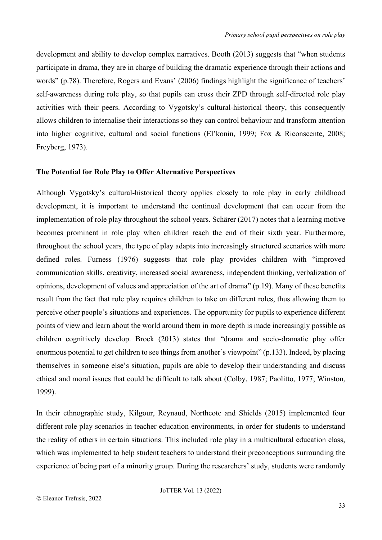development and ability to develop complex narratives. Booth (2013) suggests that "when students participate in drama, they are in charge of building the dramatic experience through their actions and words" (p.78). Therefore, Rogers and Evans' (2006) findings highlight the significance of teachers' self-awareness during role play, so that pupils can cross their ZPD through self-directed role play activities with their peers. According to Vygotsky's cultural-historical theory, this consequently allows children to internalise their interactions so they can control behaviour and transform attention into higher cognitive, cultural and social functions (El'konin, 1999; Fox & Riconscente, 2008; Freyberg, 1973).

#### **The Potential for Role Play to Offer Alternative Perspectives**

Although Vygotsky's cultural-historical theory applies closely to role play in early childhood development, it is important to understand the continual development that can occur from the implementation of role play throughout the school years. Schärer (2017) notes that a learning motive becomes prominent in role play when children reach the end of their sixth year. Furthermore, throughout the school years, the type of play adapts into increasingly structured scenarios with more defined roles. Furness (1976) suggests that role play provides children with "improved communication skills, creativity, increased social awareness, independent thinking, verbalization of opinions, development of values and appreciation of the art of drama" (p.19). Many of these benefits result from the fact that role play requires children to take on different roles, thus allowing them to perceive other people's situations and experiences. The opportunity for pupils to experience different points of view and learn about the world around them in more depth is made increasingly possible as children cognitively develop. Brock (2013) states that "drama and socio-dramatic play offer enormous potential to get children to see things from another's viewpoint" (p.133). Indeed, by placing themselves in someone else's situation, pupils are able to develop their understanding and discuss ethical and moral issues that could be difficult to talk about (Colby, 1987; Paolitto, 1977; Winston, 1999).

In their ethnographic study, Kilgour, Reynaud, Northcote and Shields (2015) implemented four different role play scenarios in teacher education environments, in order for students to understand the reality of others in certain situations. This included role play in a multicultural education class, which was implemented to help student teachers to understand their preconceptions surrounding the experience of being part of a minority group. During the researchers' study, students were randomly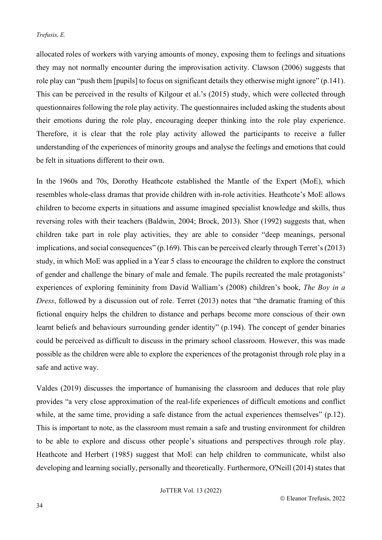allocated roles of workers with varying amounts of money, exposing them to feelings and situations they may not normally encounter during the improvisation activity. Clawson (2006) suggests that role play can "push them [pupils] to focus on significant details they otherwise might ignore" (p.141). This can be perceived in the results of Kilgour et al.'s (2015) study, which were collected through questionnaires following the role play activity. The questionnaires included asking the students about their emotions during the role play, encouraging deeper thinking into the role play experience. Therefore, it is clear that the role play activity allowed the participants to receive a fuller understanding of the experiences of minority groups and analyse the feelings and emotions that could be felt in situations different to their own.

In the 1960s and 70s, Dorothy Heathcote established the Mantle of the Expert (MoE), which resembles whole-class dramas that provide children with in-role activities. Heathcote's MoE allows children to become experts in situations and assume imagined specialist knowledge and skills, thus reversing roles with their teachers (Baldwin, 2004; Brock, 2013). Shor (1992) suggests that, when children take part in role play activities, they are able to consider "deep meanings, personal implications, and social consequences" (p.169). This can be perceived clearly through Terret's (2013) study, in which MoE was applied in a Year 5 class to encourage the children to explore the construct of gender and challenge the binary of male and female. The pupils recreated the male protagonists' experiences of exploring femininity from David Walliam's (2008) children's book, *The Boy in a Dress*, followed by a discussion out of role. Terret (2013) notes that "the dramatic framing of this fictional enquiry helps the children to distance and perhaps become more conscious of their own learnt beliefs and behaviours surrounding gender identity" (p.194). The concept of gender binaries could be perceived as difficult to discuss in the primary school classroom. However, this was made possible as the children were able to explore the experiences of the protagonist through role play in a safe and active way.

Valdes (2019) discusses the importance of humanising the classroom and deduces that role play provides "a very close approximation of the real-life experiences of difficult emotions and conflict while, at the same time, providing a safe distance from the actual experiences themselves" (p.12). This is important to note, as the classroom must remain a safe and trusting environment for children to be able to explore and discuss other people's situations and perspectives through role play. Heathcote and Herbert (1985) suggest that MoE can help children to communicate, whilst also developing and learning socially, personally and theoretically. Furthermore, O'Neill (2014) states that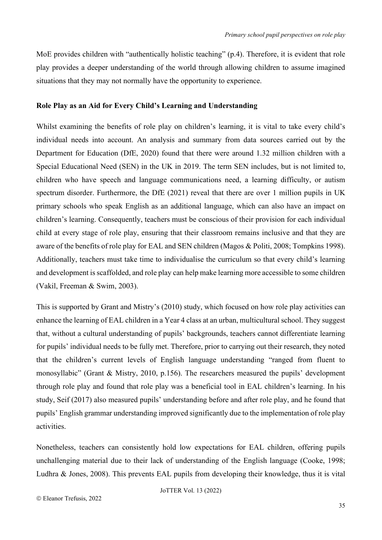MoE provides children with "authentically holistic teaching" (p.4). Therefore, it is evident that role play provides a deeper understanding of the world through allowing children to assume imagined situations that they may not normally have the opportunity to experience.

#### **Role Play as an Aid for Every Child's Learning and Understanding**

Whilst examining the benefits of role play on children's learning, it is vital to take every child's individual needs into account. An analysis and summary from data sources carried out by the Department for Education (DfE, 2020) found that there were around 1.32 million children with a Special Educational Need (SEN) in the UK in 2019. The term SEN includes, but is not limited to, children who have speech and language communications need, a learning difficulty, or autism spectrum disorder. Furthermore, the DfE (2021) reveal that there are over 1 million pupils in UK primary schools who speak English as an additional language, which can also have an impact on children's learning. Consequently, teachers must be conscious of their provision for each individual child at every stage of role play, ensuring that their classroom remains inclusive and that they are aware of the benefits of role play for EAL and SEN children (Magos & Politi, 2008; Tompkins 1998). Additionally, teachers must take time to individualise the curriculum so that every child's learning and development is scaffolded, and role play can help make learning more accessible to some children (Vakil, Freeman & Swim, 2003).

This is supported by Grant and Mistry's (2010) study, which focused on how role play activities can enhance the learning of EAL children in a Year 4 class at an urban, multicultural school. They suggest that, without a cultural understanding of pupils' backgrounds, teachers cannot differentiate learning for pupils' individual needs to be fully met. Therefore, prior to carrying out their research, they noted that the children's current levels of English language understanding "ranged from fluent to monosyllabic" (Grant & Mistry, 2010, p.156). The researchers measured the pupils' development through role play and found that role play was a beneficial tool in EAL children's learning. In his study, Seif (2017) also measured pupils' understanding before and after role play, and he found that pupils' English grammar understanding improved significantly due to the implementation of role play activities.

Nonetheless, teachers can consistently hold low expectations for EAL children, offering pupils unchallenging material due to their lack of understanding of the English language (Cooke, 1998; Ludhra & Jones, 2008). This prevents EAL pupils from developing their knowledge, thus it is vital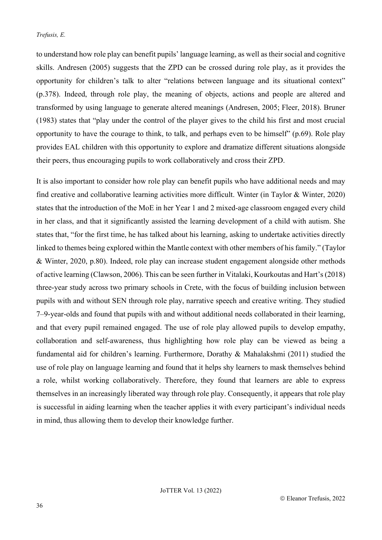to understand how role play can benefit pupils' language learning, as well as their social and cognitive skills. Andresen (2005) suggests that the ZPD can be crossed during role play, as it provides the opportunity for children's talk to alter "relations between language and its situational context" (p.378). Indeed, through role play, the meaning of objects, actions and people are altered and transformed by using language to generate altered meanings (Andresen, 2005; Fleer, 2018). Bruner (1983) states that "play under the control of the player gives to the child his first and most crucial opportunity to have the courage to think, to talk, and perhaps even to be himself" (p.69). Role play provides EAL children with this opportunity to explore and dramatize different situations alongside their peers, thus encouraging pupils to work collaboratively and cross their ZPD.

It is also important to consider how role play can benefit pupils who have additional needs and may find creative and collaborative learning activities more difficult. Winter (in Taylor & Winter, 2020) states that the introduction of the MoE in her Year 1 and 2 mixed-age classroom engaged every child in her class, and that it significantly assisted the learning development of a child with autism. She states that, "for the first time, he has talked about his learning, asking to undertake activities directly linked to themes being explored within the Mantle context with other members of his family." (Taylor & Winter, 2020, p.80). Indeed, role play can increase student engagement alongside other methods of active learning (Clawson, 2006). This can be seen further in Vitalaki, Kourkoutas and Hart's (2018) three-year study across two primary schools in Crete, with the focus of building inclusion between pupils with and without SEN through role play, narrative speech and creative writing. They studied 7–9-year-olds and found that pupils with and without additional needs collaborated in their learning, and that every pupil remained engaged. The use of role play allowed pupils to develop empathy, collaboration and self-awareness, thus highlighting how role play can be viewed as being a fundamental aid for children's learning. Furthermore, Dorathy & Mahalakshmi (2011) studied the use of role play on language learning and found that it helps shy learners to mask themselves behind a role, whilst working collaboratively. Therefore, they found that learners are able to express themselves in an increasingly liberated way through role play. Consequently, it appears that role play is successful in aiding learning when the teacher applies it with every participant's individual needs in mind, thus allowing them to develop their knowledge further.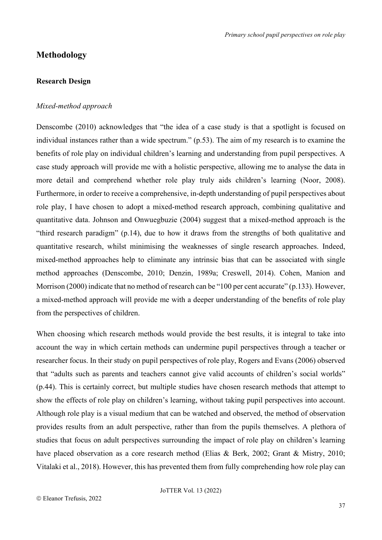## **Methodology**

#### **Research Design**

#### *Mixed-method approach*

Denscombe (2010) acknowledges that "the idea of a case study is that a spotlight is focused on individual instances rather than a wide spectrum." (p.53). The aim of my research is to examine the benefits of role play on individual children's learning and understanding from pupil perspectives. A case study approach will provide me with a holistic perspective, allowing me to analyse the data in more detail and comprehend whether role play truly aids children's learning (Noor, 2008). Furthermore, in order to receive a comprehensive, in-depth understanding of pupil perspectives about role play, I have chosen to adopt a mixed-method research approach, combining qualitative and quantitative data. Johnson and Onwuegbuzie (2004) suggest that a mixed-method approach is the "third research paradigm" (p.14), due to how it draws from the strengths of both qualitative and quantitative research, whilst minimising the weaknesses of single research approaches. Indeed, mixed-method approaches help to eliminate any intrinsic bias that can be associated with single method approaches (Denscombe, 2010; Denzin, 1989a; Creswell, 2014). Cohen, Manion and Morrison (2000) indicate that no method of research can be "100 per cent accurate" (p.133). However, a mixed-method approach will provide me with a deeper understanding of the benefits of role play from the perspectives of children.

When choosing which research methods would provide the best results, it is integral to take into account the way in which certain methods can undermine pupil perspectives through a teacher or researcher focus. In their study on pupil perspectives of role play, Rogers and Evans (2006) observed that "adults such as parents and teachers cannot give valid accounts of children's social worlds" (p.44). This is certainly correct, but multiple studies have chosen research methods that attempt to show the effects of role play on children's learning, without taking pupil perspectives into account. Although role play is a visual medium that can be watched and observed, the method of observation provides results from an adult perspective, rather than from the pupils themselves. A plethora of studies that focus on adult perspectives surrounding the impact of role play on children's learning have placed observation as a core research method (Elias & Berk, 2002; Grant & Mistry, 2010; Vitalaki et al., 2018). However, this has prevented them from fully comprehending how role play can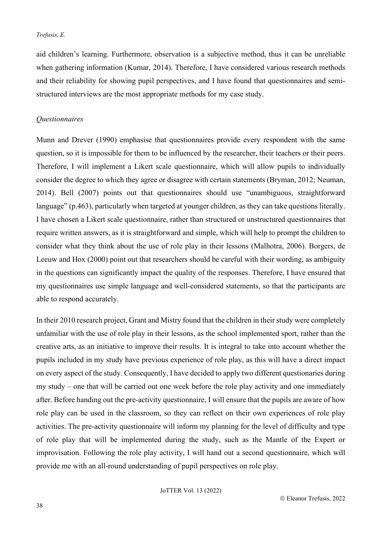aid children's learning. Furthermore, observation is a subjective method, thus it can be unreliable when gathering information (Kumar, 2014). Therefore, I have considered various research methods and their reliability for showing pupil perspectives, and I have found that questionnaires and semistructured interviews are the most appropriate methods for my case study.

## *Questionnaires*

Munn and Drever (1990) emphasise that questionnaires provide every respondent with the same question, so it is impossible for them to be influenced by the researcher, their teachers or their peers. Therefore, I will implement a Likert scale questionnaire, which will allow pupils to individually consider the degree to which they agree or disagree with certain statements (Bryman, 2012; Neuman, 2014). Bell (2007) points out that questionnaires should use "unambiguous, straightforward language" (p.463), particularly when targeted at younger children, as they can take questions literally. I have chosen a Likert scale questionnaire, rather than structured or unstructured questionnaires that require written answers, as it is straightforward and simple, which will help to prompt the children to consider what they think about the use of role play in their lessons (Malhotra, 2006). Borgers, de Leeuw and Hox (2000) point out that researchers should be careful with their wording, as ambiguity in the questions can significantly impact the quality of the responses. Therefore, I have ensured that my questionnaires use simple language and well-considered statements, so that the participants are able to respond accurately.

In their 2010 research project, Grant and Mistry found that the children in their study were completely unfamiliar with the use of role play in their lessons, as the school implemented sport, rather than the creative arts, as an initiative to improve their results. It is integral to take into account whether the pupils included in my study have previous experience of role play, as this will have a direct impact on every aspect of the study. Consequently, I have decided to apply two different questionaries during my study – one that will be carried out one week before the role play activity and one immediately after. Before handing out the pre-activity questionnaire, I will ensure that the pupils are aware of how role play can be used in the classroom, so they can reflect on their own experiences of role play activities. The pre-activity questionnaire will inform my planning for the level of difficulty and type of role play that will be implemented during the study, such as the Mantle of the Expert or improvisation. Following the role play activity, I will hand out a second questionnaire, which will provide me with an all-round understanding of pupil perspectives on role play.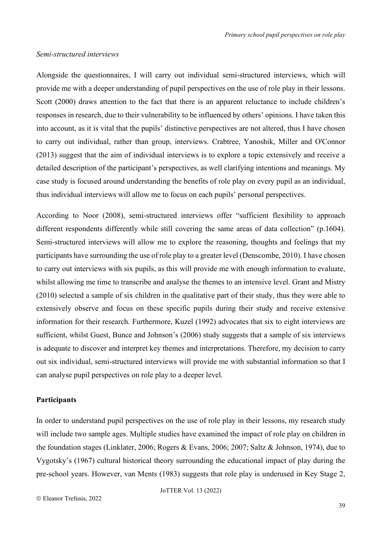#### *Semi-structured interviews*

Alongside the questionnaires, I will carry out individual semi-structured interviews, which will provide me with a deeper understanding of pupil perspectives on the use of role play in their lessons. Scott (2000) draws attention to the fact that there is an apparent reluctance to include children's responses in research, due to their vulnerability to be influenced by others' opinions. I have taken this into account, as it is vital that the pupils' distinctive perspectives are not altered, thus I have chosen to carry out individual, rather than group, interviews. Crabtree, Yanoshik, Miller and O'Connor (2013) suggest that the aim of individual interviews is to explore a topic extensively and receive a detailed description of the participant's perspectives, as well clarifying intentions and meanings. My case study is focused around understanding the benefits of role play on every pupil as an individual, thus individual interviews will allow me to focus on each pupils' personal perspectives.

According to Noor (2008), semi-structured interviews offer "sufficient flexibility to approach different respondents differently while still covering the same areas of data collection" (p.1604). Semi-structured interviews will allow me to explore the reasoning, thoughts and feelings that my participants have surrounding the use of role play to a greater level (Denscombe, 2010). I have chosen to carry out interviews with six pupils, as this will provide me with enough information to evaluate, whilst allowing me time to transcribe and analyse the themes to an intensive level. Grant and Mistry (2010) selected a sample of six children in the qualitative part of their study, thus they were able to extensively observe and focus on these specific pupils during their study and receive extensive information for their research. Furthermore, Kuzel (1992) advocates that six to eight interviews are sufficient, whilst Guest, Bunce and Johnson's (2006) study suggests that a sample of six interviews is adequate to discover and interpret key themes and interpretations. Therefore, my decision to carry out six individual, semi-structured interviews will provide me with substantial information so that I can analyse pupil perspectives on role play to a deeper level.

#### **Participants**

In order to understand pupil perspectives on the use of role play in their lessons, my research study will include two sample ages. Multiple studies have examined the impact of role play on children in the foundation stages (Linklater, 2006; Rogers & Evans, 2006; 2007; Saltz & Johnson, 1974), due to Vygotsky's (1967) cultural historical theory surrounding the educational impact of play during the pre-school years. However, van Ments (1983) suggests that role play is underused in Key Stage 2,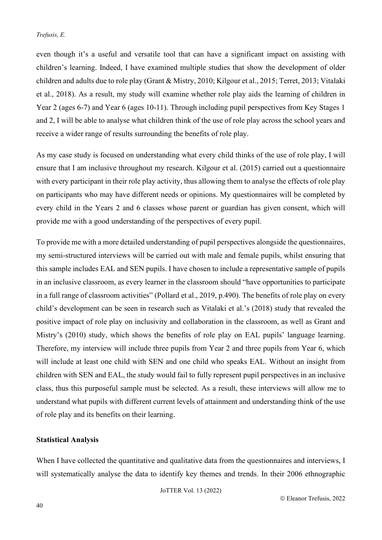even though it's a useful and versatile tool that can have a significant impact on assisting with children's learning. Indeed, I have examined multiple studies that show the development of older children and adults due to role play (Grant & Mistry, 2010; Kilgour et al., 2015; Terret, 2013; Vitalaki et al., 2018). As a result, my study will examine whether role play aids the learning of children in Year 2 (ages 6-7) and Year 6 (ages 10-11). Through including pupil perspectives from Key Stages 1 and 2, I will be able to analyse what children think of the use of role play across the school years and receive a wider range of results surrounding the benefits of role play.

As my case study is focused on understanding what every child thinks of the use of role play, I will ensure that I am inclusive throughout my research. Kilgour et al. (2015) carried out a questionnaire with every participant in their role play activity, thus allowing them to analyse the effects of role play on participants who may have different needs or opinions. My questionnaires will be completed by every child in the Years 2 and 6 classes whose parent or guardian has given consent, which will provide me with a good understanding of the perspectives of every pupil.

To provide me with a more detailed understanding of pupil perspectives alongside the questionnaires, my semi-structured interviews will be carried out with male and female pupils, whilst ensuring that this sample includes EAL and SEN pupils. I have chosen to include a representative sample of pupils in an inclusive classroom, as every learner in the classroom should "have opportunities to participate in a full range of classroom activities" (Pollard et al., 2019, p.490). The benefits of role play on every child's development can be seen in research such as Vitalaki et al.'s (2018) study that revealed the positive impact of role play on inclusivity and collaboration in the classroom, as well as Grant and Mistry's (2010) study, which shows the benefits of role play on EAL pupils' language learning. Therefore, my interview will include three pupils from Year 2 and three pupils from Year 6, which will include at least one child with SEN and one child who speaks EAL. Without an insight from children with SEN and EAL, the study would fail to fully represent pupil perspectives in an inclusive class, thus this purposeful sample must be selected. As a result, these interviews will allow me to understand what pupils with different current levels of attainment and understanding think of the use of role play and its benefits on their learning.

#### **Statistical Analysis**

When I have collected the quantitative and qualitative data from the questionnaires and interviews, I will systematically analyse the data to identify key themes and trends. In their 2006 ethnographic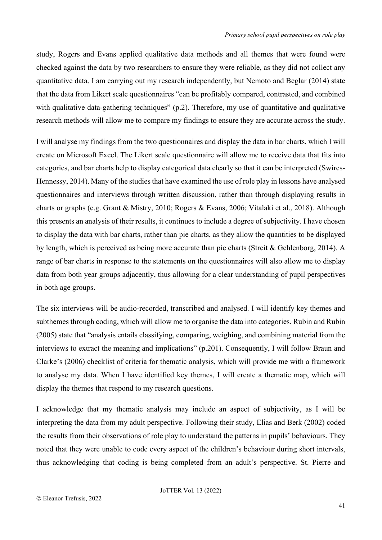study, Rogers and Evans applied qualitative data methods and all themes that were found were checked against the data by two researchers to ensure they were reliable, as they did not collect any quantitative data. I am carrying out my research independently, but Nemoto and Beglar (2014) state that the data from Likert scale questionnaires "can be profitably compared, contrasted, and combined with qualitative data-gathering techniques" (p.2). Therefore, my use of quantitative and qualitative research methods will allow me to compare my findings to ensure they are accurate across the study.

I will analyse my findings from the two questionnaires and display the data in bar charts, which I will create on Microsoft Excel. The Likert scale questionnaire will allow me to receive data that fits into categories, and bar charts help to display categorical data clearly so that it can be interpreted (Swires-Hennessy, 2014). Many of the studies that have examined the use of role play in lessons have analysed questionnaires and interviews through written discussion, rather than through displaying results in charts or graphs (e.g. Grant & Mistry, 2010; Rogers & Evans, 2006; Vitalaki et al., 2018). Although this presents an analysis of their results, it continues to include a degree of subjectivity. I have chosen to display the data with bar charts, rather than pie charts, as they allow the quantities to be displayed by length, which is perceived as being more accurate than pie charts (Streit & Gehlenborg, 2014). A range of bar charts in response to the statements on the questionnaires will also allow me to display data from both year groups adjacently, thus allowing for a clear understanding of pupil perspectives in both age groups.

The six interviews will be audio-recorded, transcribed and analysed. I will identify key themes and subthemes through coding, which will allow me to organise the data into categories. Rubin and Rubin (2005) state that "analysis entails classifying, comparing, weighing, and combining material from the interviews to extract the meaning and implications" (p.201). Consequently, I will follow Braun and Clarke's (2006) checklist of criteria for thematic analysis, which will provide me with a framework to analyse my data. When I have identified key themes, I will create a thematic map, which will display the themes that respond to my research questions.

I acknowledge that my thematic analysis may include an aspect of subjectivity, as I will be interpreting the data from my adult perspective. Following their study, Elias and Berk (2002) coded the results from their observations of role play to understand the patterns in pupils' behaviours. They noted that they were unable to code every aspect of the children's behaviour during short intervals, thus acknowledging that coding is being completed from an adult's perspective. St. Pierre and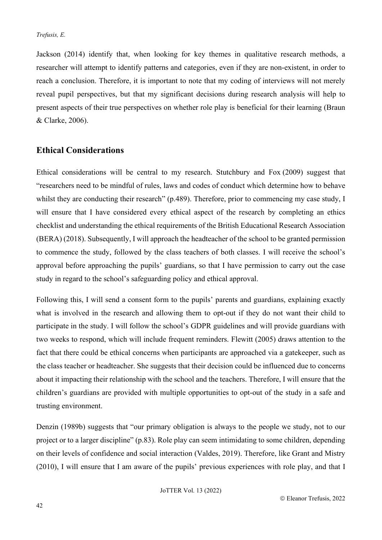Jackson (2014) identify that, when looking for key themes in qualitative research methods, a researcher will attempt to identify patterns and categories, even if they are non-existent, in order to reach a conclusion. Therefore, it is important to note that my coding of interviews will not merely reveal pupil perspectives, but that my significant decisions during research analysis will help to present aspects of their true perspectives on whether role play is beneficial for their learning (Braun & Clarke, 2006).

## **Ethical Considerations**

Ethical considerations will be central to my research. Stutchbury and Fox (2009) suggest that "researchers need to be mindful of rules, laws and codes of conduct which determine how to behave whilst they are conducting their research" (p.489). Therefore, prior to commencing my case study, I will ensure that I have considered every ethical aspect of the research by completing an ethics checklist and understanding the ethical requirements of the British Educational Research Association (BERA) (2018). Subsequently, I will approach the headteacher of the school to be granted permission to commence the study, followed by the class teachers of both classes. I will receive the school's approval before approaching the pupils' guardians, so that I have permission to carry out the case study in regard to the school's safeguarding policy and ethical approval.

Following this, I will send a consent form to the pupils' parents and guardians, explaining exactly what is involved in the research and allowing them to opt-out if they do not want their child to participate in the study. I will follow the school's GDPR guidelines and will provide guardians with two weeks to respond, which will include frequent reminders. Flewitt (2005) draws attention to the fact that there could be ethical concerns when participants are approached via a gatekeeper, such as the class teacher or headteacher. She suggests that their decision could be influenced due to concerns about it impacting their relationship with the school and the teachers. Therefore, I will ensure that the children's guardians are provided with multiple opportunities to opt-out of the study in a safe and trusting environment.

Denzin (1989b) suggests that "our primary obligation is always to the people we study, not to our project or to a larger discipline" (p.83). Role play can seem intimidating to some children, depending on their levels of confidence and social interaction (Valdes, 2019). Therefore, like Grant and Mistry (2010), I will ensure that I am aware of the pupils' previous experiences with role play, and that I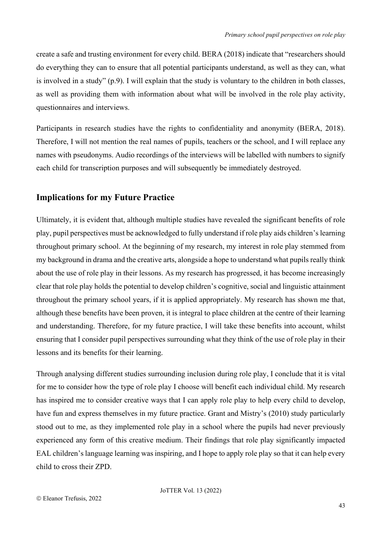create a safe and trusting environment for every child. BERA (2018) indicate that "researchers should do everything they can to ensure that all potential participants understand, as well as they can, what is involved in a study" (p.9). I will explain that the study is voluntary to the children in both classes, as well as providing them with information about what will be involved in the role play activity, questionnaires and interviews.

Participants in research studies have the rights to confidentiality and anonymity (BERA, 2018). Therefore, I will not mention the real names of pupils, teachers or the school, and I will replace any names with pseudonyms. Audio recordings of the interviews will be labelled with numbers to signify each child for transcription purposes and will subsequently be immediately destroyed.

## **Implications for my Future Practice**

Ultimately, it is evident that, although multiple studies have revealed the significant benefits of role play, pupil perspectives must be acknowledged to fully understand if role play aids children's learning throughout primary school. At the beginning of my research, my interest in role play stemmed from my background in drama and the creative arts, alongside a hope to understand what pupils really think about the use of role play in their lessons. As my research has progressed, it has become increasingly clear that role play holds the potential to develop children's cognitive, social and linguistic attainment throughout the primary school years, if it is applied appropriately. My research has shown me that, although these benefits have been proven, it is integral to place children at the centre of their learning and understanding. Therefore, for my future practice, I will take these benefits into account, whilst ensuring that I consider pupil perspectives surrounding what they think of the use of role play in their lessons and its benefits for their learning.

Through analysing different studies surrounding inclusion during role play, I conclude that it is vital for me to consider how the type of role play I choose will benefit each individual child. My research has inspired me to consider creative ways that I can apply role play to help every child to develop, have fun and express themselves in my future practice. Grant and Mistry's (2010) study particularly stood out to me, as they implemented role play in a school where the pupils had never previously experienced any form of this creative medium. Their findings that role play significantly impacted EAL children's language learning was inspiring, and I hope to apply role play so that it can help every child to cross their ZPD.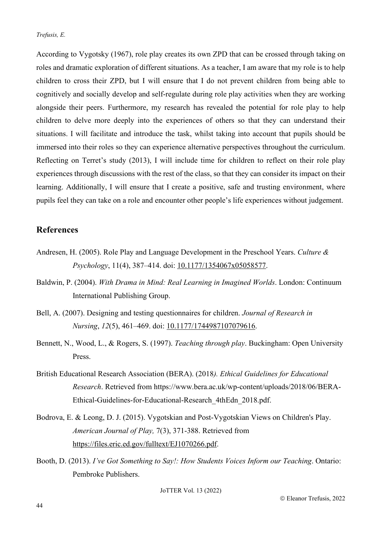According to Vygotsky (1967), role play creates its own ZPD that can be crossed through taking on roles and dramatic exploration of different situations. As a teacher, I am aware that my role is to help children to cross their ZPD, but I will ensure that I do not prevent children from being able to cognitively and socially develop and self-regulate during role play activities when they are working alongside their peers. Furthermore, my research has revealed the potential for role play to help children to delve more deeply into the experiences of others so that they can understand their situations. I will facilitate and introduce the task, whilst taking into account that pupils should be immersed into their roles so they can experience alternative perspectives throughout the curriculum. Reflecting on Terret's study (2013), I will include time for children to reflect on their role play experiences through discussions with the rest of the class, so that they can consider its impact on their learning. Additionally, I will ensure that I create a positive, safe and trusting environment, where pupils feel they can take on a role and encounter other people's life experiences without judgement.

## **References**

- Andresen, H. (2005). Role Play and Language Development in the Preschool Years. *Culture & Psychology*, 11(4), 387–414. doi: [10.1177/1354067x05058577.](https://doi.org/10.1177/1354067x05058577)
- Baldwin, P. (2004). *With Drama in Mind: Real Learning in Imagined Worlds*. London: Continuum International Publishing Group.
- Bell, A. (2007). Designing and testing questionnaires for children. *Journal of Research in Nursing*, *12*(5), 461–469. doi: [10.1177/1744987107079616.](https://doi.org/10.1177/1744987107079616)
- Bennett, N., Wood, L., & Rogers, S. (1997). *Teaching through play*. Buckingham: Open University Press.
- British Educational Research Association (BERA). (2018*). Ethical Guidelines for Educational Research*. Retrieved from [https://www.bera.ac.uk/wp-content/uploads/2018/06/BERA-](https://www.bera.ac.uk/wp-content/uploads/2018/06/BERA-Ethical-Guidelines-for-Educational-Research_4thEdn_2018.pdf)[Ethical-Guidelines-for-Educational-Research\\_4thEdn\\_2018.pdf.](https://www.bera.ac.uk/wp-content/uploads/2018/06/BERA-Ethical-Guidelines-for-Educational-Research_4thEdn_2018.pdf)
- Bodrova, E. & Leong, D. J. (2015). Vygotskian and Post-Vygotskian Views on Children's Play. *American Journal of Play,* 7(3), 371-388. Retrieved from [https://files.eric.ed.gov/fulltext/EJ1070266.pdf.](https://files.eric.ed.gov/fulltext/EJ1070266.pdf)
- Booth, D. (2013). *I've Got Something to Say!: How Students Voices Inform our Teaching*. Ontario: Pembroke Publishers.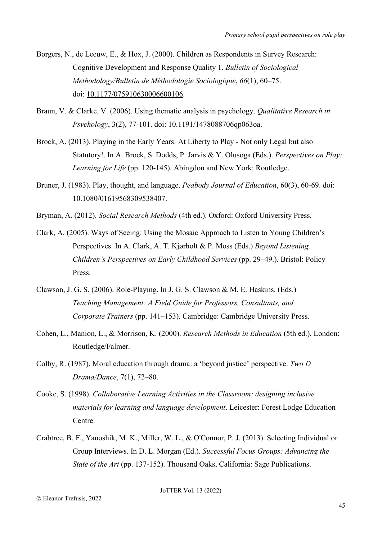- Borgers, N., de Leeuw, E., & Hox, J. (2000). Children as Respondents in Survey Research: Cognitive Development and Response Quality 1. *Bulletin of Sociological Methodology/Bulletin de Méthodologie Sociologique*, *66*(1), 60–75. doi: [10.1177/075910630006600106.](https://doi.org/10.1177/075910630006600106)
- Braun, V. & Clarke. V. (2006). Using thematic analysis in psychology. *Qualitative Research in Psychology*, 3(2), 77-101. doi: [10.1191/1478088706qp063oa.](https://doi.org/10.1191/1478088706qp063oa)
- Brock, A. (2013). Playing in the Early Years: At Liberty to Play Not only Legal but also Statutory!. In A. Brock, S. Dodds, P. Jarvis & Y. Olusoga (Eds.). *Perspectives on Play: Learning for Life* (pp. 120-145). Abingdon and New York: Routledge.
- Bruner, J. (1983). Play, thought, and language. *Peabody Journal of Education*, 60(3), 60-69. doi: 10.1080/01619568309538407.
- Bryman, A. (2012). *Social Research Methods* (4th ed.). Oxford: Oxford University Press.
- Clark, A. (2005). Ways of Seeing: Using the Mosaic Approach to Listen to Young Children's Perspectives. In A. Clark, A. T. Kjørholt & P. Moss (Eds.) *Beyond Listening. Children's Perspectives on Early Childhood Services* (pp. 29–49.). Bristol: Policy Press.
- Clawson, J. G. S. (2006). Role-Playing. In J. G. S. Clawson & M. E. Haskins. (Eds.) *Teaching Management: A Field Guide for Professors, Consultants, and Corporate Trainers* (pp. 141–153). Cambridge: Cambridge University Press.
- Cohen, L., Manion, L., & Morrison, K. (2000). *Research Methods in Education* (5th ed.). London: Routledge/Falmer.
- Colby, R. (1987). Moral education through drama: a 'beyond justice' perspective. *Two D Drama/Dance*, 7(1), 72–80.
- Cooke, S. (1998). *Collaborative Learning Activities in the Classroom: designing inclusive materials for learning and language development*. Leicester: Forest Lodge Education Centre.
- Crabtree, B. F., Yanoshik, M. K., Miller, W. L., & O'Connor, P. J. (2013). Selecting Individual or Group Interviews. In D. L. Morgan (Ed.). *Successful Focus Groups: Advancing the State of the Art* (pp. 137-152). Thousand Oaks, California: Sage Publications.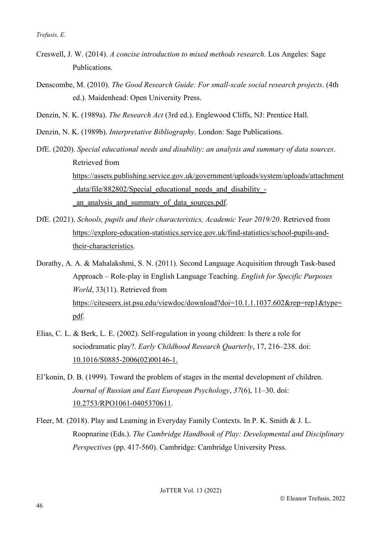- Creswell, J. W. (2014). *A concise introduction to mixed methods research*. Los Angeles: Sage Publications.
- Denscombe, M. (2010). *The Good Research Guide: For small-scale social research projects*. (4th ed.). Maidenhead: Open University Press.
- Denzin, N. K. (1989a). *The Research Act* (3rd ed.). Englewood Cliffs, NJ: Prentice Hall.

Denzin, N. K. (1989b). *Interpretative Bibliography*. London: Sage Publications.

- DfE. (2020). *Special educational needs and disability: an analysis and summary of data sources*. Retrieved from [https://assets.publishing.service.gov.uk/government/uploads/system/uploads/attachment](https://assets.publishing.service.gov.uk/government/uploads/system/uploads/attachment_data/file/882802/Special_educational_needs_and_disability_-_an_analysis_and_summary_of_data_sources.pdf) data/file/882802/Special educational needs and disability an analysis and summary of data sources.pdf.
- DfE. (2021). *Schools, pupils and their characteristics, Academic Year 2019/20*. Retrieved from [https://explore-education-statistics.service.gov.uk/find-statistics/school-pupils-and](https://explore-education-statistics.service.gov.uk/find-statistics/school-pupils-and-their-characteristics)[their-characteristics.](https://explore-education-statistics.service.gov.uk/find-statistics/school-pupils-and-their-characteristics)

Dorathy, A. A. & Mahalakshmi, S. N. (2011). Second Language Acquisition through Task-based Approach – Role-play in English Language Teaching. *English for Specific Purposes World*, 33(11). Retrieved from [https://citeseerx.ist.psu.edu/viewdoc/download?doi=10.1.1.1037.602&rep=rep1&type=](https://citeseerx.ist.psu.edu/viewdoc/download?doi=10.1.1.1037.602&rep=rep1&type=pdf) [pdf.](https://citeseerx.ist.psu.edu/viewdoc/download?doi=10.1.1.1037.602&rep=rep1&type=pdf)

- Elias, C. L. & Berk, L. E. (2002). Self-regulation in young children: Is there a role for sociodramatic play?. *Early Childhood Research Quarterly*, 17, 216–238. doi: [10.1016/S0885-2006\(02\)00146-1.](https://doi.org/10.1016/S0885-2006(02)00146-1)
- El'konin, D. B. (1999). Toward the problem of stages in the mental development of children. *Journal of Russian and East European Psychology*, *37*(6), 11–30. doi: [10.2753/RPO1061-0405370611.](https://doi.org/10.2753/RPO1061-0405370611)
- Fleer, M. (2018). Play and Learning in Everyday Family Contexts. In P. K. Smith & J. L. Roopnarine (Eds.). *The Cambridge Handbook of Play: Developmental and Disciplinary Perspectives* (pp. 417-560). Cambridge: Cambridge University Press.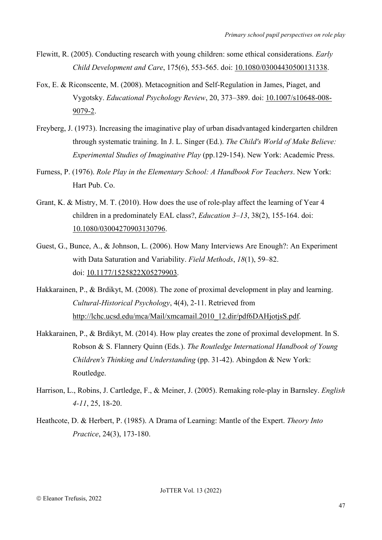- Flewitt, R. (2005). Conducting research with young children: some ethical considerations. *Early Child Development and Care*, 175(6), 553-565. doi: [10.1080/03004430500131338.](https://doi.org/10.1080/03004430500131338)
- Fox, E. & Riconscente, M. (2008). Metacognition and Self-Regulation in James, Piaget, and Vygotsky. *Educational Psychology Review*, 20, 373–389. doi: 10.1007/s10648-008- 9079-2.
- Freyberg, J. (1973). Increasing the imaginative play of urban disadvantaged kindergarten children through systematic training. In J. L. Singer (Ed.). *The Child's World of Make Believe: Experimental Studies of Imaginative Play* (pp.129-154). New York: Academic Press.
- Furness, P. (1976). *Role Play in the Elementary School: A Handbook For Teachers*. New York: Hart Pub. Co.
- Grant, K. & Mistry, M. T. (2010). How does the use of role-play affect the learning of Year 4 children in a predominately EAL class?, *Education 3–13*, 38(2), 155-164. doi: 10.1080/03004270903130796.
- Guest, G., Bunce, A., & Johnson, L. (2006). How Many Interviews Are Enough?: An Experiment with Data Saturation and Variability. *Field Methods*, *18*(1), 59–82. doi: [10.1177/1525822X05279903.](https://doi.org/10.1177/1525822X05279903)
- Hakkarainen, P., & Brdikyt, M. (2008). The zone of proximal development in play and learning. *Cultural-Historical Psychology*, 4(4), 2-11. Retrieved from [http://lchc.ucsd.edu/mca/Mail/xmcamail.2010\\_12.dir/pdf6DAHjotjsS.pdf.](http://lchc.ucsd.edu/mca/Mail/xmcamail.2010_12.dir/pdf6DAHjotjsS.pdf)
- Hakkarainen, P., & Brdikyt, M. (2014). How play creates the zone of proximal development. In S. Robson & S. Flannery Quinn (Eds.). *The Routledge International Handbook of Young Children's Thinking and Understanding* (pp. 31-42). Abingdon & New York: Routledge.
- Harrison, L., Robins, J. Cartledge, F., & Meiner, J. (2005). Remaking role-play in Barnsley. *English 4-11*, 25, 18-20.
- Heathcote, D. & Herbert, P. (1985). A Drama of Learning: Mantle of the Expert. *Theory Into Practice*, 24(3), 173-180.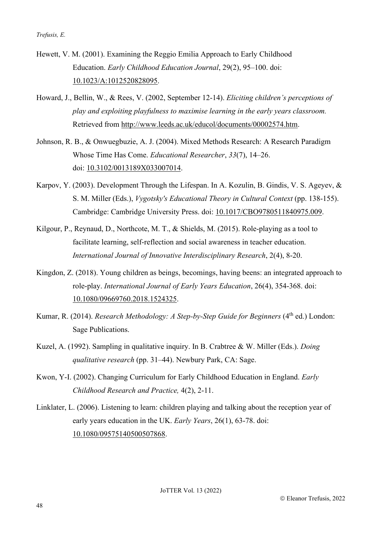- Hewett, V. M. (2001). Examining the Reggio Emilia Approach to Early Childhood Education. *Early Childhood Education Journal*, 29(2), 95–100. doi: 10.1023/A:1012520828095.
- Howard, J., Bellin, W., & Rees, V. (2002, September 12-14). *Eliciting children's perceptions of play and exploiting playfulness to maximise learning in the early years classroom.* Retrieved from [http://www.leeds.ac.uk/educol/documents/00002574.htm.](http://www.leeds.ac.uk/educol/documents/00002574.htm)
- Johnson, R. B., & Onwuegbuzie, A. J. (2004). Mixed Methods Research: A Research Paradigm Whose Time Has Come. *Educational Researcher*, *33*(7), 14–26. doi: [10.3102/0013189X033007014.](https://doi.org/10.3102/0013189X033007014)
- Karpov, Y. (2003). Development Through the Lifespan. In A. Kozulin, B. Gindis, V. S. Ageyev, & S. M. Miller (Eds.), *Vygotsky's Educational Theory in Cultural Context* (pp. 138-155). Cambridge: Cambridge University Press. doi: 10.1017/CBO9780511840975.009.
- Kilgour, P., Reynaud, D., Northcote, M. T., & Shields, M. (2015). Role-playing as a tool to facilitate learning, self-reflection and social awareness in teacher education. *International Journal of Innovative Interdisciplinary Research*, 2(4), 8-20.
- Kingdon, Z. (2018). Young children as beings, becomings, having beens: an integrated approach to role-play. *International Journal of Early Years Education*, 26(4), 354-368. doi: 10.1080/09669760.2018.1524325.
- Kumar, R. (2014). *Research Methodology: A Step-by-Step Guide for Beginners* (4<sup>th</sup> ed.) London: Sage Publications.
- Kuzel, A. (1992). Sampling in qualitative inquiry. In B. Crabtree & W. Miller (Eds.). *Doing qualitative research* (pp. 31–44). Newbury Park, CA: Sage.
- Kwon, Y-I. (2002). Changing Curriculum for Early Childhood Education in England. *Early Childhood Research and Practice,* 4(2), 2-11.
- Linklater, L. (2006). Listening to learn: children playing and talking about the reception year of early years education in the UK. *Early Years*, 26(1), 63-78. doi: [10.1080/09575140500507868.](https://doi.org/10.1080/09575140500507868)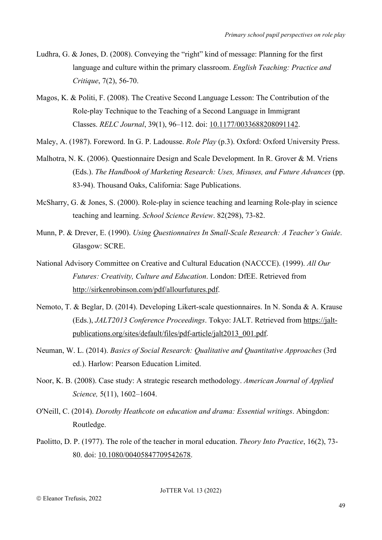- Ludhra, G. & Jones, D. (2008). Conveying the "right" kind of message: Planning for the first language and culture within the primary classroom. *English Teaching: Practice and Critique*, 7(2), 56-70.
- Magos, K. & Politi, F. (2008). The Creative Second Language Lesson: The Contribution of the Role-play Technique to the Teaching of a Second Language in Immigrant Classes. *RELC Journal*, 39(1), 96–112. doi: 10.1177/0033688208091142.
- Maley, A. (1987). Foreword. In G. P. Ladousse. *Role Play* (p.3). Oxford: Oxford University Press.
- Malhotra, N. K. (2006). Questionnaire Design and Scale Development. In R. Grover & M. Vriens (Eds.). *The Handbook of Marketing Research: Uses, Misuses, and Future Advances* (pp. 83-94). Thousand Oaks, California: Sage Publications.
- McSharry, G. & Jones, S. (2000). Role-play in science teaching and learning Role-play in science teaching and learning. *School Science Review*. 82(298), 73-82.
- Munn, P. & Drever, E. (1990). *Using Questionnaires In Small-Scale Research: A Teacher's Guide*. Glasgow: SCRE.
- National Advisory Committee on Creative and Cultural Education (NACCCE). (1999). *All Our Futures: Creativity, Culture and Education*. London: DfEE. Retrieved from [http://sirkenrobinson.com/pdf/allourfutures.pdf.](http://sirkenrobinson.com/pdf/allourfutures.pdf)
- Nemoto, T. & Beglar, D. (2014). Developing Likert-scale questionnaires. In N. Sonda & A. Krause (Eds.), *JALT2013 Conference Proceedings*. Tokyo: JALT. Retrieved from [https://jalt](https://jalt-publications.org/sites/default/files/pdf-article/jalt2013_001.pdf)[publications.org/sites/default/files/pdf-article/jalt2013\\_001.pdf.](https://jalt-publications.org/sites/default/files/pdf-article/jalt2013_001.pdf)
- Neuman, W. L. (2014). *Basics of Social Research: Qualitative and Quantitative Approaches* (3rd ed.). Harlow: Pearson Education Limited.
- Noor, K. B. (2008). Case study: A strategic research methodology. *American Journal of Applied Science,* 5(11), 1602–1604.
- O'Neill, C. (2014). *Dorothy Heathcote on education and drama: Essential writings*. Abingdon: Routledge.
- Paolitto, D. P. (1977). The role of the teacher in moral education. *Theory Into Practice*, 16(2), 73- 80. doi: 10.1080/00405847709542678.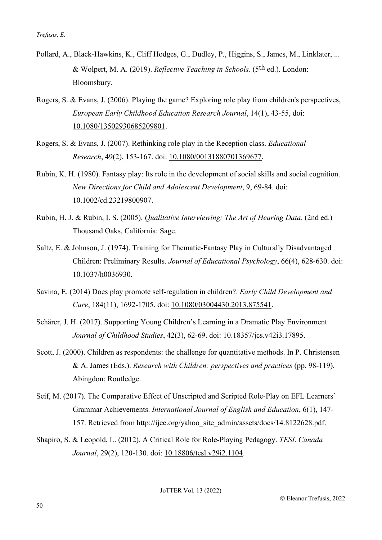- Pollard, A., Black-Hawkins, K., Cliff Hodges, G., Dudley, P., Higgins, S., James, M., Linklater, ... & Wolpert, M. A. (2019). *Reflective Teaching in Schools.* (5th ed.). London: Bloomsbury.
- Rogers, S. & Evans, J. (2006). Playing the game? Exploring role play from children's perspectives, *European Early Childhood Education Research Journal*, 14(1), 43-55, doi: [10.1080/13502930685209801.](https://doi.org/10.1080/13502930685209801)
- Rogers, S. & Evans, J. (2007). Rethinking role play in the Reception class. *Educational Research*, 49(2), 153-167. doi: [10.1080/00131880701369677.](https://doi.org/10.1080/00131880701369677)
- Rubin, K. H. (1980). Fantasy play: Its role in the development of social skills and social cognition. *New Directions for Child and Adolescent Development*, 9, 69-84. doi: [10.1002/cd.23219800907.](https://doi.org/10.1002/cd.23219800907)
- Rubin, H. J. & Rubin, I. S. (2005). *Qualitative Interviewing: The Art of Hearing Data*. (2nd ed.) Thousand Oaks, California: Sage.
- Saltz, E. & Johnson, J. (1974). Training for Thematic-Fantasy Play in Culturally Disadvantaged Children: Preliminary Results. *Journal of Educational Psychology*, 66(4), 628-630. doi: 10.1037/h0036930.
- Savina, E. (2014) Does play promote self-regulation in children?. *Early Child Development and Care*, 184(11), 1692-1705. doi: 10.1080/03004430.2013.875541.
- Schärer, J. H. (2017). Supporting Young Children's Learning in a Dramatic Play Environment. *Journal of Childhood Studies*, 42(3), 62-69. doi: 10.18357/jcs.v42i3.17895.
- Scott, J. (2000). Children as respondents: the challenge for quantitative methods. In P. Christensen & A. James (Eds.). *Research with Children: perspectives and practices* (pp. 98-119). Abingdon: Routledge.
- Seif, M. (2017). The Comparative Effect of Unscripted and Scripted Role-Play on EFL Learners' Grammar Achievements. *International Journal of English and Education*, 6(1), 147- 157. Retrieved from [http://ijee.org/yahoo\\_site\\_admin/assets/docs/14.8122628.pdf.](http://ijee.org/yahoo_site_admin/assets/docs/14.8122628.pdf)
- Shapiro, S. & Leopold, L. (2012). A Critical Role for Role-Playing Pedagogy. *TESL Canada Journal*, 29(2), 120-130. doi: [10.18806/tesl.v29i2.1104.](https://doi.org/10.18806/tesl.v29i2.1104)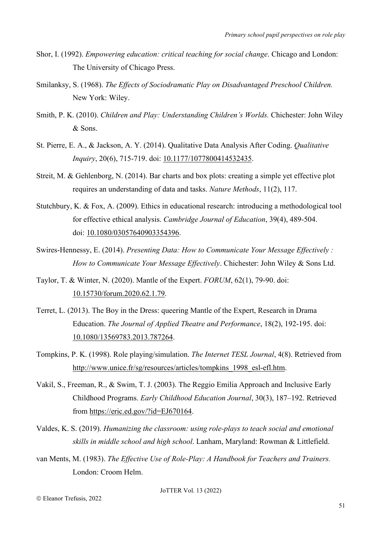- Shor, I. (1992). *Empowering education: critical teaching for social change*. Chicago and London: The University of Chicago Press.
- Smilanksy, S. (1968). *The Effects of Sociodramatic Play on Disadvantaged Preschool Children.*  New York: Wiley.
- Smith, P. K. (2010). *Children and Play: Understanding Children's Worlds.* Chichester: John Wiley & Sons.
- St. Pierre, E. A., & Jackson, A. Y. (2014). Qualitative Data Analysis After Coding. *Qualitative Inquiry*, 20(6), 715-719. doi: 10.1177/1077800414532435.
- Streit, M. & Gehlenborg, N. (2014). Bar charts and box plots: creating a simple yet effective plot requires an understanding of data and tasks. *Nature Methods*, 11(2), 117.
- Stutchbury, K. & Fox, A. (2009). Ethics in educational research: introducing a methodological tool for effective ethical analysis. *Cambridge Journal of Education*, 39(4), 489-504. doi: [10.1080/03057640903354396.](https://doi.org/10.1080/03057640903354396)
- Swires-Hennessy, E. (2014). *Presenting Data: How to Communicate Your Message Effectively : How to Communicate Your Message Effectively*. Chichester: John Wiley & Sons Ltd.
- Taylor, T. & Winter, N. (2020). Mantle of the Expert. *FORUM*, 62(1), 79-90. doi: [10.15730/forum.2020.62.1.79.](https://doi.org/10.15730/forum.2020.62.1.79)
- Terret, L. (2013). The Boy in the Dress: queering Mantle of the Expert, Research in Drama Education. *The Journal of Applied Theatre and Performance*, 18(2), 192-195. doi: [10.1080/13569783.2013.787264.](https://doi.org/10.1080/13569783.2013.787264)
- Tompkins, P. K. (1998). Role playing/simulation. *The Internet TESL Journal*, 4(8). Retrieved from http://www.unice.fr/sg/resources/articles/tompkins 1998 esl-efl.htm.
- Vakil, S., Freeman, R., & Swim, T. J. (2003). The Reggio Emilia Approach and Inclusive Early Childhood Programs. *Early Childhood Education Journal*, 30(3), 187–192. Retrieved from [https://eric.ed.gov/?id=EJ670164.](https://eric.ed.gov/?id=EJ670164)
- Valdes, K. S. (2019). *Humanizing the classroom: using role-plays to teach social and emotional skills in middle school and high school*. Lanham, Maryland: Rowman & Littlefield.
- van Ments, M. (1983). *The Effective Use of Role-Play: A Handbook for Teachers and Trainers.* London: Croom Helm.

Eleanor Trefusis, 2022